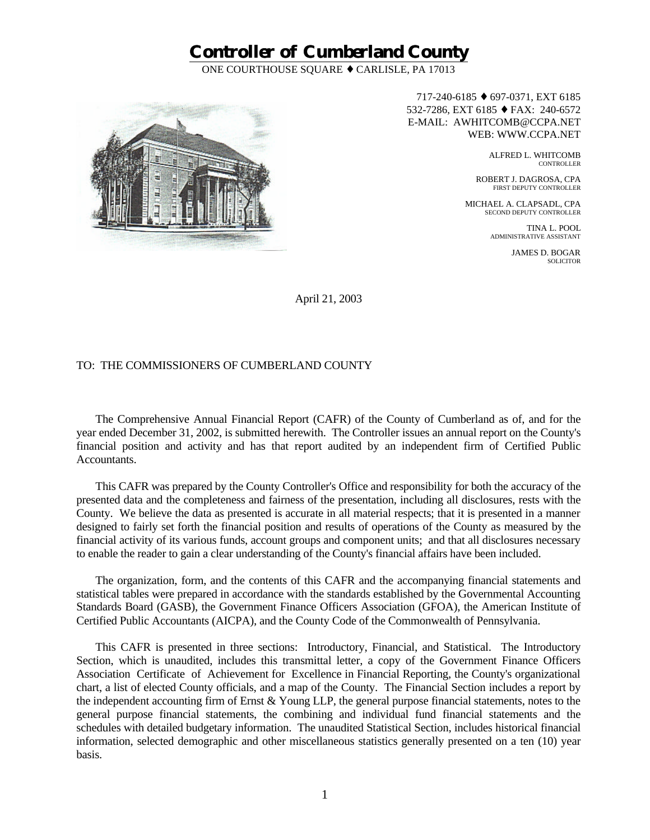# **Controller of Cumberland County**

ONE COURTHOUSE SQUARE ♦ CARLISLE, PA 17013



717-240-6185 ♦ 697-0371, EXT 6185 532-7286, EXT 6185 ♦ FAX: 240-6572 E-MAIL: AWHITCOMB@CCPA.NET WEB: WWW.CCPA.NET

> ALFRED L. WHITCOMB **CONTROLLER**

ROBERT J. DAGROSA, CPA FIRST DEPUTY CONTROLLER

MICHAEL A. CLAPSADL, CPA SECOND DEPUTY CONTROLLER

> TINA L. POOL ADMINISTRATIVE ASSISTANT

> > JAMES D. BOGAR SOLICITOR

April 21, 2003

# TO: THE COMMISSIONERS OF CUMBERLAND COUNTY

The Comprehensive Annual Financial Report (CAFR) of the County of Cumberland as of, and for the year ended December 31, 2002, is submitted herewith. The Controller issues an annual report on the County's financial position and activity and has that report audited by an independent firm of Certified Public Accountants.

 This CAFR was prepared by the County Controller's Office and responsibility for both the accuracy of the presented data and the completeness and fairness of the presentation, including all disclosures, rests with the County. We believe the data as presented is accurate in all material respects; that it is presented in a manner designed to fairly set forth the financial position and results of operations of the County as measured by the financial activity of its various funds, account groups and component units; and that all disclosures necessary to enable the reader to gain a clear understanding of the County's financial affairs have been included.

The organization, form, and the contents of this CAFR and the accompanying financial statements and statistical tables were prepared in accordance with the standards established by the Governmental Accounting Standards Board (GASB), the Government Finance Officers Association (GFOA), the American Institute of Certified Public Accountants (AICPA), and the County Code of the Commonwealth of Pennsylvania.

This CAFR is presented in three sections: Introductory, Financial, and Statistical. The Introductory Section, which is unaudited, includes this transmittal letter, a copy of the Government Finance Officers Association Certificate of Achievement for Excellence in Financial Reporting, the County's organizational chart, a list of elected County officials, and a map of the County. The Financial Section includes a report by the independent accounting firm of Ernst & Young LLP, the general purpose financial statements, notes to the general purpose financial statements, the combining and individual fund financial statements and the schedules with detailed budgetary information. The unaudited Statistical Section, includes historical financial information, selected demographic and other miscellaneous statistics generally presented on a ten (10) year basis.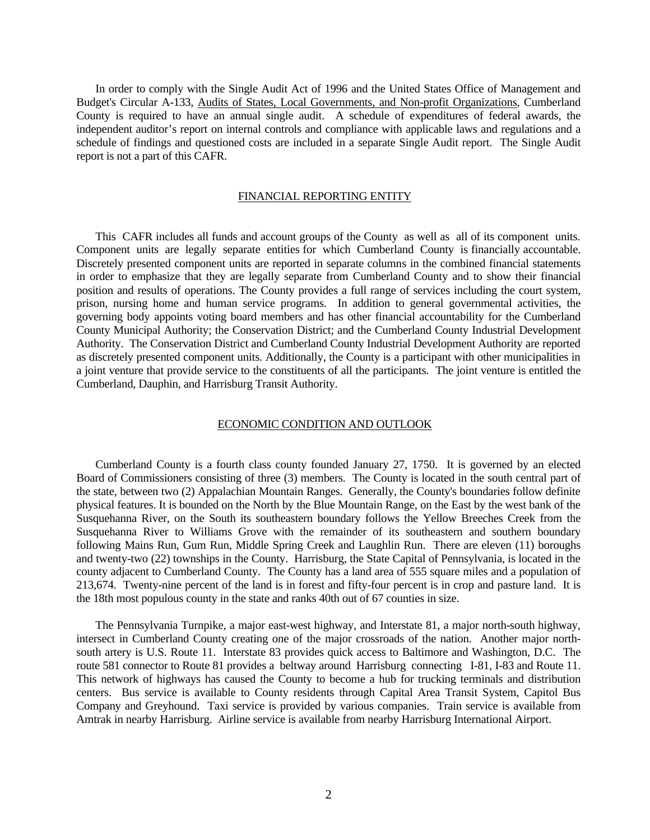In order to comply with the Single Audit Act of 1996 and the United States Office of Management and Budget's Circular A-133, Audits of States, Local Governments, and Non-profit Organizations, Cumberland County is required to have an annual single audit. A schedule of expenditures of federal awards, the independent auditor's report on internal controls and compliance with applicable laws and regulations and a schedule of findings and questioned costs are included in a separate Single Audit report. The Single Audit report is not a part of this CAFR.

#### FINANCIAL REPORTING ENTITY

This CAFR includes all funds and account groups of the County as well as all of its component units. Component units are legally separate entities for which Cumberland County is financially accountable. Discretely presented component units are reported in separate columns in the combined financial statements in order to emphasize that they are legally separate from Cumberland County and to show their financial position and results of operations. The County provides a full range of services including the court system, prison, nursing home and human service programs. In addition to general governmental activities, the governing body appoints voting board members and has other financial accountability for the Cumberland County Municipal Authority; the Conservation District; and the Cumberland County Industrial Development Authority. The Conservation District and Cumberland County Industrial Development Authority are reported as discretely presented component units. Additionally, the County is a participant with other municipalities in a joint venture that provide service to the constituents of all the participants. The joint venture is entitled the Cumberland, Dauphin, and Harrisburg Transit Authority.

# ECONOMIC CONDITION AND OUTLOOK

Cumberland County is a fourth class county founded January 27, 1750. It is governed by an elected Board of Commissioners consisting of three (3) members. The County is located in the south central part of the state, between two (2) Appalachian Mountain Ranges. Generally, the County's boundaries follow definite physical features. It is bounded on the North by the Blue Mountain Range, on the East by the west bank of the Susquehanna River, on the South its southeastern boundary follows the Yellow Breeches Creek from the Susquehanna River to Williams Grove with the remainder of its southeastern and southern boundary following Mains Run, Gum Run, Middle Spring Creek and Laughlin Run. There are eleven (11) boroughs and twenty-two (22) townships in the County. Harrisburg, the State Capital of Pennsylvania, is located in the county adjacent to Cumberland County. The County has a land area of 555 square miles and a population of 213,674. Twenty-nine percent of the land is in forest and fifty-four percent is in crop and pasture land. It is the 18th most populous county in the state and ranks 40th out of 67 counties in size.

The Pennsylvania Turnpike, a major east-west highway, and Interstate 81, a major north-south highway, intersect in Cumberland County creating one of the major crossroads of the nation. Another major northsouth artery is U.S. Route 11. Interstate 83 provides quick access to Baltimore and Washington, D.C. The route 581 connector to Route 81 provides a beltway around Harrisburg connecting I-81, I-83 and Route 11. This network of highways has caused the County to become a hub for trucking terminals and distribution centers. Bus service is available to County residents through Capital Area Transit System, Capitol Bus Company and Greyhound. Taxi service is provided by various companies. Train service is available from Amtrak in nearby Harrisburg. Airline service is available from nearby Harrisburg International Airport.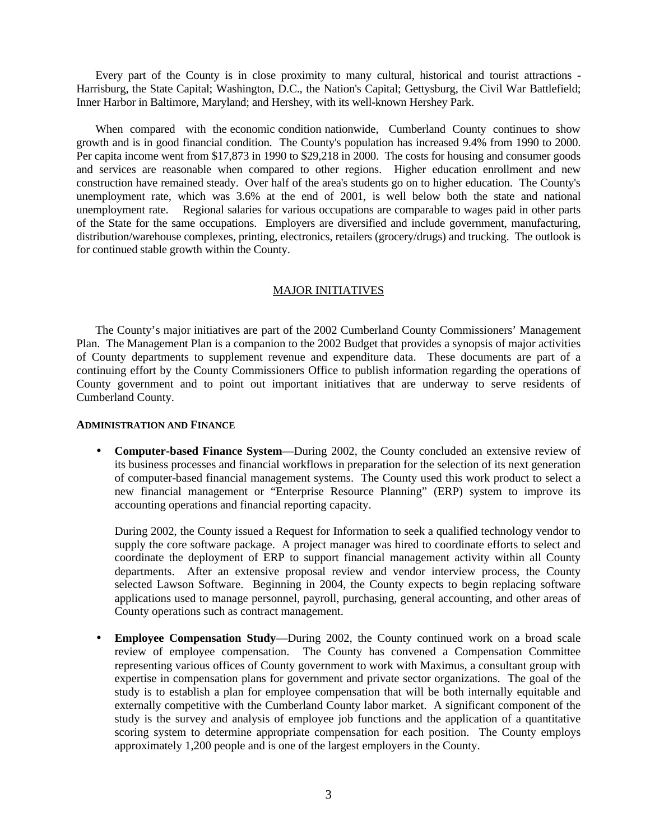Every part of the County is in close proximity to many cultural, historical and tourist attractions - Harrisburg, the State Capital; Washington, D.C., the Nation's Capital; Gettysburg, the Civil War Battlefield; Inner Harbor in Baltimore, Maryland; and Hershey, with its well-known Hershey Park.

When compared with the economic condition nationwide, Cumberland County continues to show growth and is in good financial condition. The County's population has increased 9.4% from 1990 to 2000. Per capita income went from \$17,873 in 1990 to \$29,218 in 2000. The costs for housing and consumer goods and services are reasonable when compared to other regions. Higher education enrollment and new construction have remained steady. Over half of the area's students go on to higher education. The County's unemployment rate, which was 3.6% at the end of 2001, is well below both the state and national unemployment rate. Regional salaries for various occupations are comparable to wages paid in other parts of the State for the same occupations. Employers are diversified and include government, manufacturing, distribution/warehouse complexes, printing, electronics, retailers (grocery/drugs) and trucking. The outlook is for continued stable growth within the County.

# MAJOR INITIATIVES

The County's major initiatives are part of the 2002 Cumberland County Commissioners' Management Plan. The Management Plan is a companion to the 2002 Budget that provides a synopsis of major activities of County departments to supplement revenue and expenditure data. These documents are part of a continuing effort by the County Commissioners Office to publish information regarding the operations of County government and to point out important initiatives that are underway to serve residents of Cumberland County.

#### **ADMINISTRATION AND FINANCE**

• **Computer-based Finance System**—During 2002, the County concluded an extensive review of its business processes and financial workflows in preparation for the selection of its next generation of computer-based financial management systems. The County used this work product to select a new financial management or "Enterprise Resource Planning" (ERP) system to improve its accounting operations and financial reporting capacity.

During 2002, the County issued a Request for Information to seek a qualified technology vendor to supply the core software package. A project manager was hired to coordinate efforts to select and coordinate the deployment of ERP to support financial management activity within all County departments. After an extensive proposal review and vendor interview process, the County selected Lawson Software. Beginning in 2004, the County expects to begin replacing software applications used to manage personnel, payroll, purchasing, general accounting, and other areas of County operations such as contract management.

• **Employee Compensation Study**—During 2002, the County continued work on a broad scale review of employee compensation. The County has convened a Compensation Committee representing various offices of County government to work with Maximus, a consultant group with expertise in compensation plans for government and private sector organizations. The goal of the study is to establish a plan for employee compensation that will be both internally equitable and externally competitive with the Cumberland County labor market. A significant component of the study is the survey and analysis of employee job functions and the application of a quantitative scoring system to determine appropriate compensation for each position. The County employs approximately 1,200 people and is one of the largest employers in the County.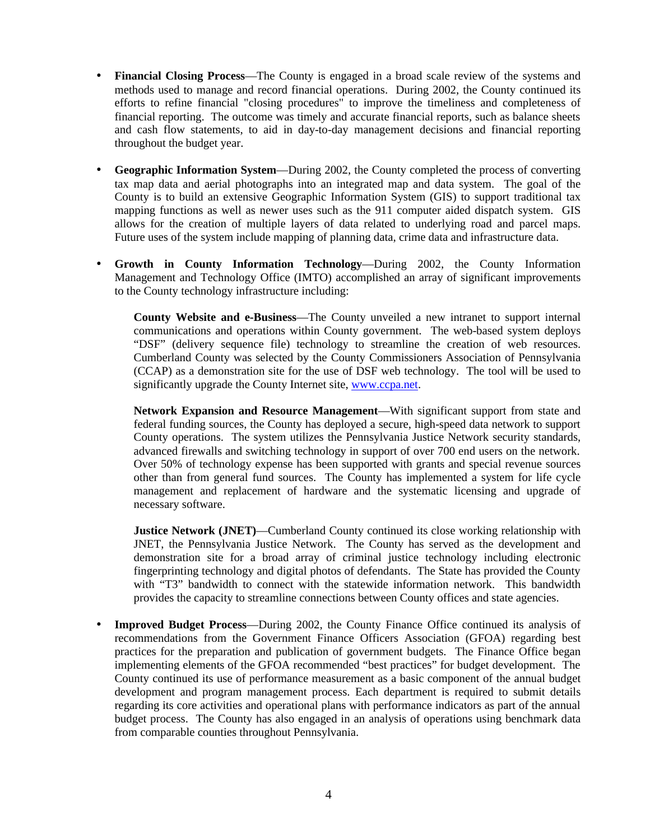- **Financial Closing Process**—The County is engaged in a broad scale review of the systems and methods used to manage and record financial operations. During 2002, the County continued its efforts to refine financial "closing procedures" to improve the timeliness and completeness of financial reporting. The outcome was timely and accurate financial reports, such as balance sheets and cash flow statements, to aid in day-to-day management decisions and financial reporting throughout the budget year.
- **Geographic Information System**—During 2002, the County completed the process of converting tax map data and aerial photographs into an integrated map and data system. The goal of the County is to build an extensive Geographic Information System (GIS) to support traditional tax mapping functions as well as newer uses such as the 911 computer aided dispatch system. GIS allows for the creation of multiple layers of data related to underlying road and parcel maps. Future uses of the system include mapping of planning data, crime data and infrastructure data.
- **Growth in County Information Technology**—During 2002, the County Information Management and Technology Office (IMTO) accomplished an array of significant improvements to the County technology infrastructure including:

**County Website and e-Business**—The County unveiled a new intranet to support internal communications and operations within County government. The web-based system deploys "DSF" (delivery sequence file) technology to streamline the creation of web resources. Cumberland County was selected by the County Commissioners Association of Pennsylvania (CCAP) as a demonstration site for the use of DSF web technology. The tool will be used to significantly upgrade the County Internet site, www.ccpa.net.

**Network Expansion and Resource Management**—With significant support from state and federal funding sources, the County has deployed a secure, high-speed data network to support County operations. The system utilizes the Pennsylvania Justice Network security standards, advanced firewalls and switching technology in support of over 700 end users on the network. Over 50% of technology expense has been supported with grants and special revenue sources other than from general fund sources. The County has implemented a system for life cycle management and replacement of hardware and the systematic licensing and upgrade of necessary software.

**Justice Network (JNET)—Cumberland County continued its close working relationship with** JNET, the Pennsylvania Justice Network. The County has served as the development and demonstration site for a broad array of criminal justice technology including electronic fingerprinting technology and digital photos of defendants. The State has provided the County with "T3" bandwidth to connect with the statewide information network. This bandwidth provides the capacity to streamline connections between County offices and state agencies.

• **Improved Budget Process**—During 2002, the County Finance Office continued its analysis of recommendations from the Government Finance Officers Association (GFOA) regarding best practices for the preparation and publication of government budgets. The Finance Office began implementing elements of the GFOA recommended "best practices" for budget development. The County continued its use of performance measurement as a basic component of the annual budget development and program management process. Each department is required to submit details regarding its core activities and operational plans with performance indicators as part of the annual budget process. The County has also engaged in an analysis of operations using benchmark data from comparable counties throughout Pennsylvania.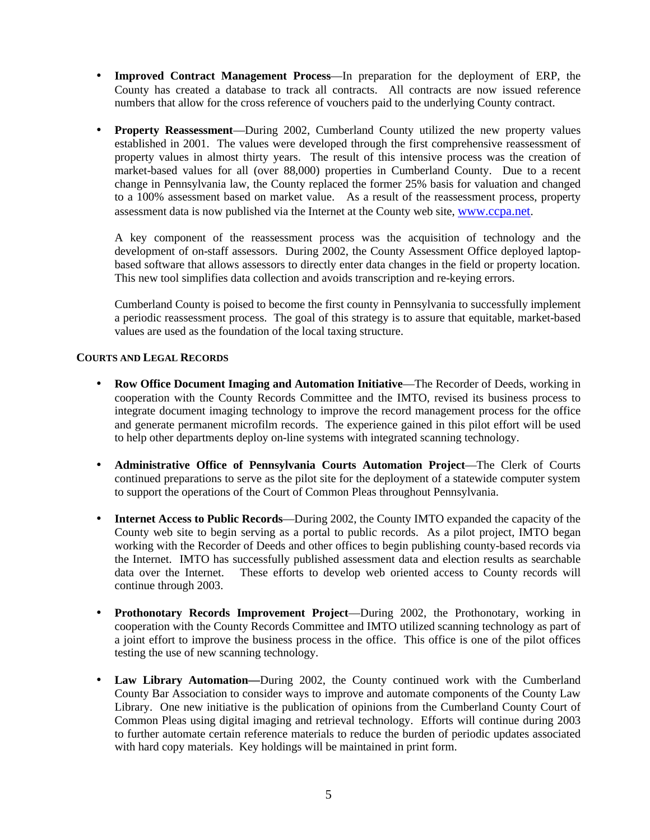- **Improved Contract Management Process**—In preparation for the deployment of ERP, the County has created a database to track all contracts. All contracts are now issued reference numbers that allow for the cross reference of vouchers paid to the underlying County contract.
- **Property Reassessment**—During 2002, Cumberland County utilized the new property values established in 2001. The values were developed through the first comprehensive reassessment of property values in almost thirty years. The result of this intensive process was the creation of market-based values for all (over 88,000) properties in Cumberland County. Due to a recent change in Pennsylvania law, the County replaced the former 25% basis for valuation and changed to a 100% assessment based on market value. As a result of the reassessment process, property assessment data is now published via the Internet at the County web site, www.ccpa.net.

A key component of the reassessment process was the acquisition of technology and the development of on-staff assessors. During 2002, the County Assessment Office deployed laptopbased software that allows assessors to directly enter data changes in the field or property location. This new tool simplifies data collection and avoids transcription and re-keying errors.

Cumberland County is poised to become the first county in Pennsylvania to successfully implement a periodic reassessment process. The goal of this strategy is to assure that equitable, market-based values are used as the foundation of the local taxing structure.

# **COURTS AND LEGAL RECORDS**

- **Row Office Document Imaging and Automation Initiative**—The Recorder of Deeds, working in cooperation with the County Records Committee and the IMTO, revised its business process to integrate document imaging technology to improve the record management process for the office and generate permanent microfilm records. The experience gained in this pilot effort will be used to help other departments deploy on-line systems with integrated scanning technology.
- **Administrative Office of Pennsylvania Courts Automation Project**—The Clerk of Courts continued preparations to serve as the pilot site for the deployment of a statewide computer system to support the operations of the Court of Common Pleas throughout Pennsylvania.
- **Internet Access to Public Records**—During 2002, the County IMTO expanded the capacity of the County web site to begin serving as a portal to public records. As a pilot project, IMTO began working with the Recorder of Deeds and other offices to begin publishing county-based records via the Internet. IMTO has successfully published assessment data and election results as searchable data over the Internet. These efforts to develop web oriented access to County records will continue through 2003.
- **Prothonotary Records Improvement Project**—During 2002, the Prothonotary, working in cooperation with the County Records Committee and IMTO utilized scanning technology as part of a joint effort to improve the business process in the office. This office is one of the pilot offices testing the use of new scanning technology.
- **Law Library Automation—**During 2002, the County continued work with the Cumberland County Bar Association to consider ways to improve and automate components of the County Law Library. One new initiative is the publication of opinions from the Cumberland County Court of Common Pleas using digital imaging and retrieval technology. Efforts will continue during 2003 to further automate certain reference materials to reduce the burden of periodic updates associated with hard copy materials. Key holdings will be maintained in print form.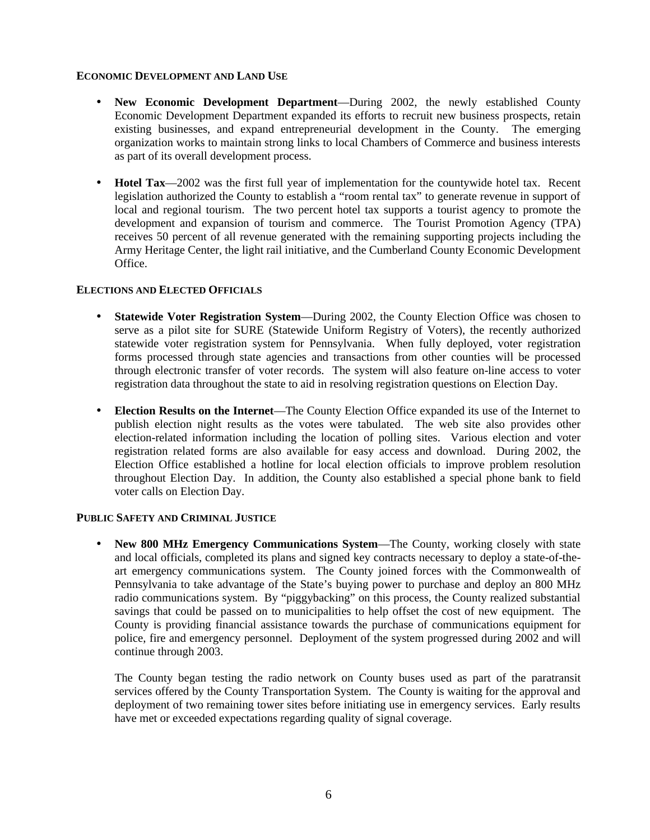# **ECONOMIC DEVELOPMENT AND LAND USE**

- **New Economic Development Department**—During 2002, the newly established County Economic Development Department expanded its efforts to recruit new business prospects, retain existing businesses, and expand entrepreneurial development in the County. The emerging organization works to maintain strong links to local Chambers of Commerce and business interests as part of its overall development process.
- **Hotel Tax**—2002 was the first full year of implementation for the countywide hotel tax. Recent legislation authorized the County to establish a "room rental tax" to generate revenue in support of local and regional tourism. The two percent hotel tax supports a tourist agency to promote the development and expansion of tourism and commerce. The Tourist Promotion Agency (TPA) receives 50 percent of all revenue generated with the remaining supporting projects including the Army Heritage Center, the light rail initiative, and the Cumberland County Economic Development Office.

# **ELECTIONS AND ELECTED OFFICIALS**

- **Statewide Voter Registration System**—During 2002, the County Election Office was chosen to serve as a pilot site for SURE (Statewide Uniform Registry of Voters), the recently authorized statewide voter registration system for Pennsylvania. When fully deployed, voter registration forms processed through state agencies and transactions from other counties will be processed through electronic transfer of voter records. The system will also feature on-line access to voter registration data throughout the state to aid in resolving registration questions on Election Day.
- **Election Results on the Internet**—The County Election Office expanded its use of the Internet to publish election night results as the votes were tabulated. The web site also provides other election-related information including the location of polling sites. Various election and voter registration related forms are also available for easy access and download. During 2002, the Election Office established a hotline for local election officials to improve problem resolution throughout Election Day. In addition, the County also established a special phone bank to field voter calls on Election Day.

# **PUBLIC SAFETY AND CRIMINAL JUSTICE**

• **New 800 MHz Emergency Communications System**—The County, working closely with state and local officials, completed its plans and signed key contracts necessary to deploy a state-of-theart emergency communications system. The County joined forces with the Commonwealth of Pennsylvania to take advantage of the State's buying power to purchase and deploy an 800 MHz radio communications system. By "piggybacking" on this process, the County realized substantial savings that could be passed on to municipalities to help offset the cost of new equipment. The County is providing financial assistance towards the purchase of communications equipment for police, fire and emergency personnel. Deployment of the system progressed during 2002 and will continue through 2003.

The County began testing the radio network on County buses used as part of the paratransit services offered by the County Transportation System. The County is waiting for the approval and deployment of two remaining tower sites before initiating use in emergency services. Early results have met or exceeded expectations regarding quality of signal coverage.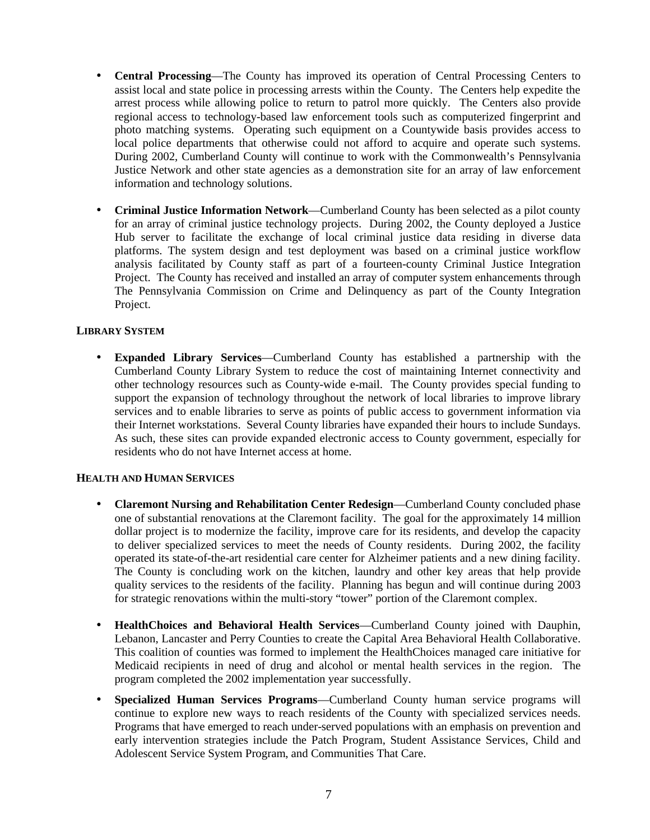- **Central Processing**—The County has improved its operation of Central Processing Centers to assist local and state police in processing arrests within the County. The Centers help expedite the arrest process while allowing police to return to patrol more quickly. The Centers also provide regional access to technology-based law enforcement tools such as computerized fingerprint and photo matching systems. Operating such equipment on a Countywide basis provides access to local police departments that otherwise could not afford to acquire and operate such systems. During 2002, Cumberland County will continue to work with the Commonwealth's Pennsylvania Justice Network and other state agencies as a demonstration site for an array of law enforcement information and technology solutions.
- **Criminal Justice Information Network**—Cumberland County has been selected as a pilot county for an array of criminal justice technology projects. During 2002, the County deployed a Justice Hub server to facilitate the exchange of local criminal justice data residing in diverse data platforms. The system design and test deployment was based on a criminal justice workflow analysis facilitated by County staff as part of a fourteen-county Criminal Justice Integration Project. The County has received and installed an array of computer system enhancements through The Pennsylvania Commission on Crime and Delinquency as part of the County Integration Project.

# **LIBRARY SYSTEM**

• **Expanded Library Services**—Cumberland County has established a partnership with the Cumberland County Library System to reduce the cost of maintaining Internet connectivity and other technology resources such as County-wide e-mail. The County provides special funding to support the expansion of technology throughout the network of local libraries to improve library services and to enable libraries to serve as points of public access to government information via their Internet workstations. Several County libraries have expanded their hours to include Sundays. As such, these sites can provide expanded electronic access to County government, especially for residents who do not have Internet access at home.

# **HEALTH AND HUMAN SERVICES**

- **Claremont Nursing and Rehabilitation Center Redesign**—Cumberland County concluded phase one of substantial renovations at the Claremont facility. The goal for the approximately 14 million dollar project is to modernize the facility, improve care for its residents, and develop the capacity to deliver specialized services to meet the needs of County residents. During 2002, the facility operated its state-of-the-art residential care center for Alzheimer patients and a new dining facility. The County is concluding work on the kitchen, laundry and other key areas that help provide quality services to the residents of the facility. Planning has begun and will continue during 2003 for strategic renovations within the multi-story "tower" portion of the Claremont complex.
- **HealthChoices and Behavioral Health Services**—Cumberland County joined with Dauphin, Lebanon, Lancaster and Perry Counties to create the Capital Area Behavioral Health Collaborative. This coalition of counties was formed to implement the HealthChoices managed care initiative for Medicaid recipients in need of drug and alcohol or mental health services in the region. The program completed the 2002 implementation year successfully.
- **Specialized Human Services Programs**—Cumberland County human service programs will continue to explore new ways to reach residents of the County with specialized services needs. Programs that have emerged to reach under-served populations with an emphasis on prevention and early intervention strategies include the Patch Program, Student Assistance Services, Child and Adolescent Service System Program, and Communities That Care.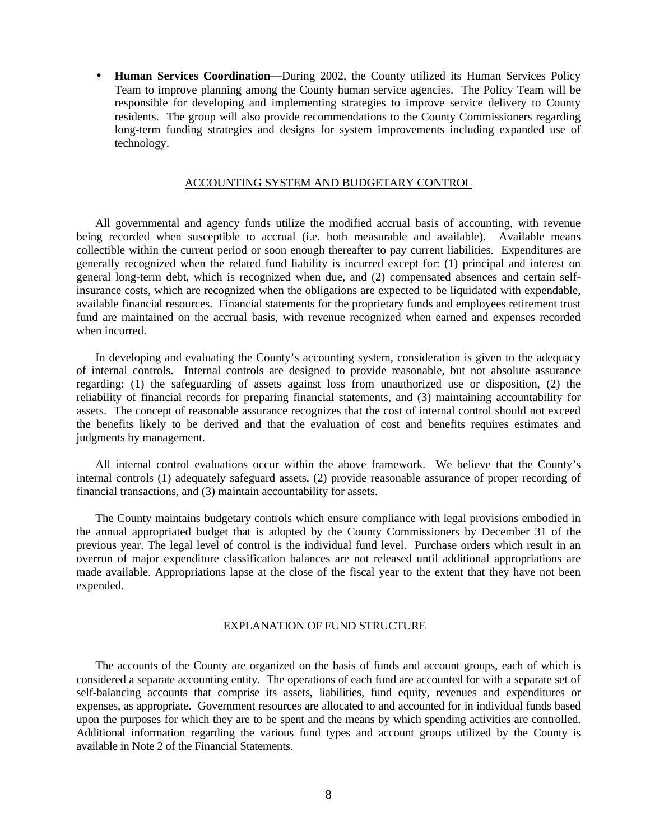• **Human Services Coordination—**During 2002, the County utilized its Human Services Policy Team to improve planning among the County human service agencies. The Policy Team will be responsible for developing and implementing strategies to improve service delivery to County residents. The group will also provide recommendations to the County Commissioners regarding long-term funding strategies and designs for system improvements including expanded use of technology.

# ACCOUNTING SYSTEM AND BUDGETARY CONTROL

All governmental and agency funds utilize the modified accrual basis of accounting, with revenue being recorded when susceptible to accrual (i.e. both measurable and available). Available means collectible within the current period or soon enough thereafter to pay current liabilities. Expenditures are generally recognized when the related fund liability is incurred except for: (1) principal and interest on general long-term debt, which is recognized when due, and (2) compensated absences and certain selfinsurance costs, which are recognized when the obligations are expected to be liquidated with expendable, available financial resources. Financial statements for the proprietary funds and employees retirement trust fund are maintained on the accrual basis, with revenue recognized when earned and expenses recorded when incurred.

In developing and evaluating the County's accounting system, consideration is given to the adequacy of internal controls. Internal controls are designed to provide reasonable, but not absolute assurance regarding: (1) the safeguarding of assets against loss from unauthorized use or disposition, (2) the reliability of financial records for preparing financial statements, and (3) maintaining accountability for assets. The concept of reasonable assurance recognizes that the cost of internal control should not exceed the benefits likely to be derived and that the evaluation of cost and benefits requires estimates and judgments by management.

All internal control evaluations occur within the above framework. We believe that the County's internal controls (1) adequately safeguard assets, (2) provide reasonable assurance of proper recording of financial transactions, and (3) maintain accountability for assets.

The County maintains budgetary controls which ensure compliance with legal provisions embodied in the annual appropriated budget that is adopted by the County Commissioners by December 31 of the previous year. The legal level of control is the individual fund level. Purchase orders which result in an overrun of major expenditure classification balances are not released until additional appropriations are made available. Appropriations lapse at the close of the fiscal year to the extent that they have not been expended.

# EXPLANATION OF FUND STRUCTURE

The accounts of the County are organized on the basis of funds and account groups, each of which is considered a separate accounting entity. The operations of each fund are accounted for with a separate set of self-balancing accounts that comprise its assets, liabilities, fund equity, revenues and expenditures or expenses, as appropriate. Government resources are allocated to and accounted for in individual funds based upon the purposes for which they are to be spent and the means by which spending activities are controlled. Additional information regarding the various fund types and account groups utilized by the County is available in Note 2 of the Financial Statements.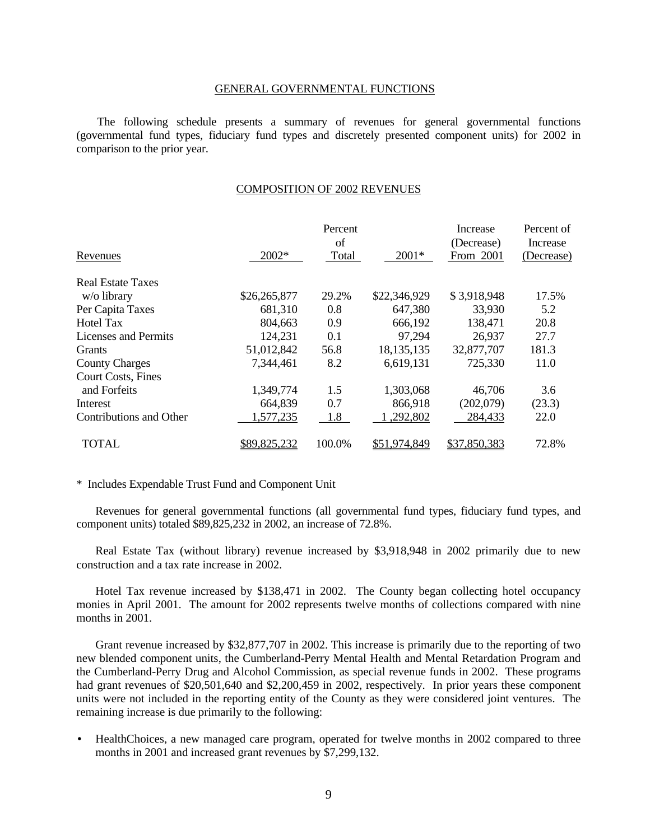### GENERAL GOVERNMENTAL FUNCTIONS

The following schedule presents a summary of revenues for general governmental functions (governmental fund types, fiduciary fund types and discretely presented component units) for 2002 in comparison to the prior year.

#### COMPOSITION OF 2002 REVENUES

|                           | Percent<br>of |        |              | Increase<br>(Decrease) | Percent of<br>Increase |
|---------------------------|---------------|--------|--------------|------------------------|------------------------|
| Revenues                  |               |        |              |                        |                        |
|                           | 2002*         | Total  | 2001*        | From 2001              | (Decrease)             |
| <b>Real Estate Taxes</b>  |               |        |              |                        |                        |
| w/o library               | \$26,265,877  | 29.2%  | \$22,346,929 | \$3,918,948            | 17.5%                  |
| Per Capita Taxes          | 681,310       | 0.8    | 647,380      | 33,930                 | 5.2                    |
| <b>Hotel Tax</b>          | 804,663       | 0.9    | 666,192      | 138,471                | 20.8                   |
| Licenses and Permits      | 124,231       | 0.1    | 97,294       | 26,937                 | 27.7                   |
| Grants                    | 51,012,842    | 56.8   | 18, 135, 135 | 32,877,707             | 181.3                  |
| <b>County Charges</b>     | 7,344,461     | 8.2    | 6,619,131    | 725,330                | 11.0                   |
| <b>Court Costs, Fines</b> |               |        |              |                        |                        |
| and Forfeits              | 1,349,774     | 1.5    | 1,303,068    | 46,706                 | 3.6                    |
| Interest                  | 664,839       | 0.7    | 866,918      | (202,079)              | (23.3)                 |
| Contributions and Other   | 1,577,235     | 1.8    | 292,802      | 284,433                | 22.0                   |
| <b>TOTAL</b>              | \$89,825,232  | 100.0% | \$51,974,849 | \$37,850,383           | 72.8%                  |

\* Includes Expendable Trust Fund and Component Unit

Revenues for general governmental functions (all governmental fund types, fiduciary fund types, and component units) totaled \$89,825,232 in 2002, an increase of 72.8%.

Real Estate Tax (without library) revenue increased by \$3,918,948 in 2002 primarily due to new construction and a tax rate increase in 2002.

Hotel Tax revenue increased by \$138,471 in 2002. The County began collecting hotel occupancy monies in April 2001. The amount for 2002 represents twelve months of collections compared with nine months in 2001.

Grant revenue increased by \$32,877,707 in 2002. This increase is primarily due to the reporting of two new blended component units, the Cumberland-Perry Mental Health and Mental Retardation Program and the Cumberland-Perry Drug and Alcohol Commission, as special revenue funds in 2002. These programs had grant revenues of \$20,501,640 and \$2,200,459 in 2002, respectively. In prior years these component units were not included in the reporting entity of the County as they were considered joint ventures. The remaining increase is due primarily to the following:

• HealthChoices, a new managed care program, operated for twelve months in 2002 compared to three months in 2001 and increased grant revenues by \$7,299,132.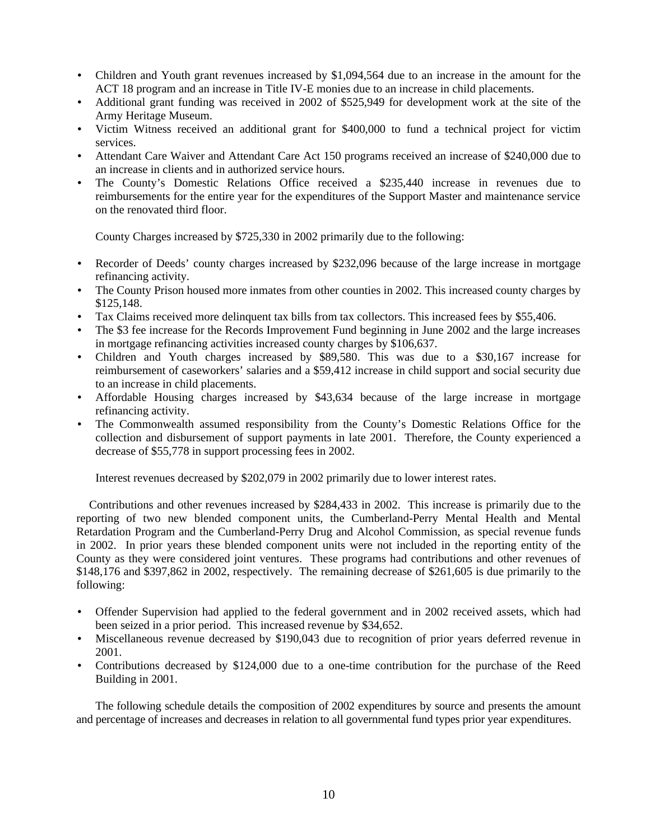- Children and Youth grant revenues increased by \$1,094,564 due to an increase in the amount for the ACT 18 program and an increase in Title IV-E monies due to an increase in child placements.
- Additional grant funding was received in 2002 of \$525,949 for development work at the site of the Army Heritage Museum.
- Victim Witness received an additional grant for \$400,000 to fund a technical project for victim services.
- Attendant Care Waiver and Attendant Care Act 150 programs received an increase of \$240,000 due to an increase in clients and in authorized service hours.
- The County's Domestic Relations Office received a \$235,440 increase in revenues due to reimbursements for the entire year for the expenditures of the Support Master and maintenance service on the renovated third floor.

County Charges increased by \$725,330 in 2002 primarily due to the following:

- Recorder of Deeds' county charges increased by \$232,096 because of the large increase in mortgage refinancing activity.
- The County Prison housed more inmates from other counties in 2002. This increased county charges by \$125,148.
- Tax Claims received more delinquent tax bills from tax collectors. This increased fees by \$55,406.
- The \$3 fee increase for the Records Improvement Fund beginning in June 2002 and the large increases in mortgage refinancing activities increased county charges by \$106,637.
- Children and Youth charges increased by \$89,580. This was due to a \$30,167 increase for reimbursement of caseworkers' salaries and a \$59,412 increase in child support and social security due to an increase in child placements.
- Affordable Housing charges increased by \$43,634 because of the large increase in mortgage refinancing activity.
- The Commonwealth assumed responsibility from the County's Domestic Relations Office for the collection and disbursement of support payments in late 2001. Therefore, the County experienced a decrease of \$55,778 in support processing fees in 2002.

Interest revenues decreased by \$202,079 in 2002 primarily due to lower interest rates.

 Contributions and other revenues increased by \$284,433 in 2002. This increase is primarily due to the reporting of two new blended component units, the Cumberland-Perry Mental Health and Mental Retardation Program and the Cumberland-Perry Drug and Alcohol Commission, as special revenue funds in 2002. In prior years these blended component units were not included in the reporting entity of the County as they were considered joint ventures. These programs had contributions and other revenues of \$148,176 and \$397,862 in 2002, respectively. The remaining decrease of \$261,605 is due primarily to the following:

- Offender Supervision had applied to the federal government and in 2002 received assets, which had been seized in a prior period. This increased revenue by \$34,652.
- Miscellaneous revenue decreased by \$190,043 due to recognition of prior years deferred revenue in 2001.
- Contributions decreased by \$124,000 due to a one-time contribution for the purchase of the Reed Building in 2001.

The following schedule details the composition of 2002 expenditures by source and presents the amount and percentage of increases and decreases in relation to all governmental fund types prior year expenditures.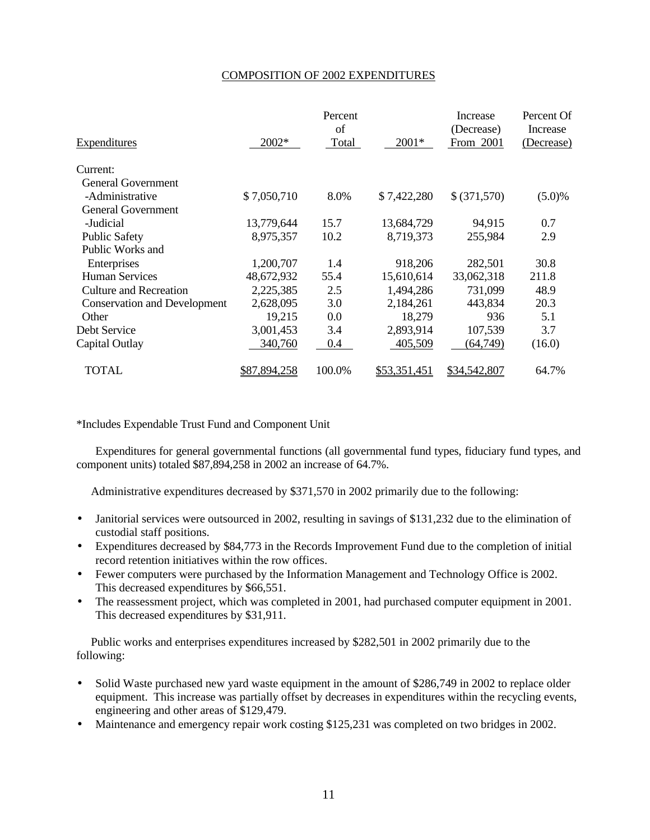# COMPOSITION OF 2002 EXPENDITURES

|                                     | Percent<br>of |        |              | Increase<br>(Decrease) | Percent Of<br>Increase |
|-------------------------------------|---------------|--------|--------------|------------------------|------------------------|
|                                     |               |        |              |                        |                        |
| <b>Expenditures</b>                 | 2002*         | Total  | 2001*        | From 2001              | (Decrease)             |
| Current:                            |               |        |              |                        |                        |
| <b>General Government</b>           |               |        |              |                        |                        |
| -Administrative                     | \$7,050,710   | 8.0%   | \$7,422,280  | \$ (371,570)           | (5.0)%                 |
| <b>General Government</b>           |               |        |              |                        |                        |
| -Judicial                           | 13,779,644    | 15.7   | 13,684,729   | 94,915                 | 0.7                    |
| <b>Public Safety</b>                | 8,975,357     | 10.2   | 8,719,373    | 255,984                | 2.9                    |
| Public Works and                    |               |        |              |                        |                        |
| Enterprises                         | 1,200,707     | 1.4    | 918,206      | 282,501                | 30.8                   |
| Human Services                      | 48,672,932    | 55.4   | 15,610,614   | 33,062,318             | 211.8                  |
| <b>Culture and Recreation</b>       | 2,225,385     | 2.5    | 1,494,286    | 731,099                | 48.9                   |
| <b>Conservation and Development</b> | 2,628,095     | 3.0    | 2,184,261    | 443,834                | 20.3                   |
| Other                               | 19,215        | 0.0    | 18,279       | 936                    | 5.1                    |
| Debt Service                        | 3,001,453     | 3.4    | 2,893,914    | 107,539                | 3.7                    |
| Capital Outlay                      | 340,760       | 0.4    | 405,509      | (64, 749)              | (16.0)                 |
| <b>TOTAL</b>                        | \$87,894,258  | 100.0% | \$53,351,451 | \$34,542,807           | 64.7%                  |

\*Includes Expendable Trust Fund and Component Unit

Expenditures for general governmental functions (all governmental fund types, fiduciary fund types, and component units) totaled \$87,894,258 in 2002 an increase of 64.7%.

Administrative expenditures decreased by \$371,570 in 2002 primarily due to the following:

- Janitorial services were outsourced in 2002, resulting in savings of \$131,232 due to the elimination of custodial staff positions.
- Expenditures decreased by \$84,773 in the Records Improvement Fund due to the completion of initial record retention initiatives within the row offices.
- Fewer computers were purchased by the Information Management and Technology Office is 2002. This decreased expenditures by \$66,551.
- The reassessment project, which was completed in 2001, had purchased computer equipment in 2001. This decreased expenditures by \$31,911.

 Public works and enterprises expenditures increased by \$282,501 in 2002 primarily due to the following:

- Solid Waste purchased new yard waste equipment in the amount of \$286,749 in 2002 to replace older equipment. This increase was partially offset by decreases in expenditures within the recycling events, engineering and other areas of \$129,479.
- Maintenance and emergency repair work costing \$125,231 was completed on two bridges in 2002.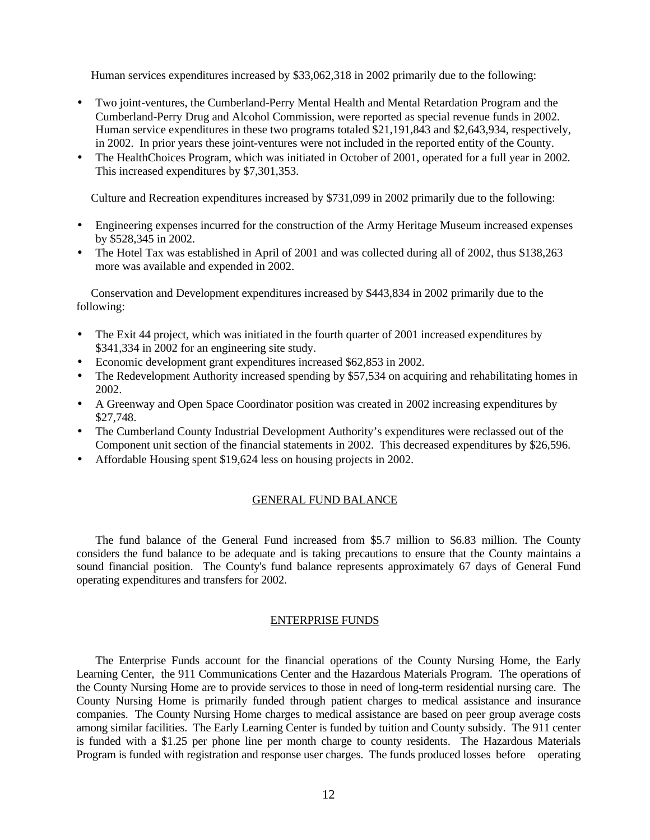Human services expenditures increased by \$33,062,318 in 2002 primarily due to the following:

- Two joint-ventures, the Cumberland-Perry Mental Health and Mental Retardation Program and the Cumberland-Perry Drug and Alcohol Commission, were reported as special revenue funds in 2002. Human service expenditures in these two programs totaled \$21,191,843 and \$2,643,934, respectively, in 2002. In prior years these joint-ventures were not included in the reported entity of the County.
- The HealthChoices Program, which was initiated in October of 2001, operated for a full year in 2002. This increased expenditures by \$7,301,353.

Culture and Recreation expenditures increased by \$731,099 in 2002 primarily due to the following:

- Engineering expenses incurred for the construction of the Army Heritage Museum increased expenses by \$528,345 in 2002.
- The Hotel Tax was established in April of 2001 and was collected during all of 2002, thus \$138,263 more was available and expended in 2002.

 Conservation and Development expenditures increased by \$443,834 in 2002 primarily due to the following:

- The Exit 44 project, which was initiated in the fourth quarter of 2001 increased expenditures by \$341,334 in 2002 for an engineering site study.
- Economic development grant expenditures increased \$62,853 in 2002.
- The Redevelopment Authority increased spending by \$57,534 on acquiring and rehabilitating homes in 2002.
- A Greenway and Open Space Coordinator position was created in 2002 increasing expenditures by \$27,748.
- The Cumberland County Industrial Development Authority's expenditures were reclassed out of the Component unit section of the financial statements in 2002. This decreased expenditures by \$26,596.
- Affordable Housing spent \$19,624 less on housing projects in 2002.

#### GENERAL FUND BALANCE

The fund balance of the General Fund increased from \$5.7 million to \$6.83 million. The County considers the fund balance to be adequate and is taking precautions to ensure that the County maintains a sound financial position. The County's fund balance represents approximately 67 days of General Fund operating expenditures and transfers for 2002.

# ENTERPRISE FUNDS

The Enterprise Funds account for the financial operations of the County Nursing Home, the Early Learning Center, the 911 Communications Center and the Hazardous Materials Program. The operations of the County Nursing Home are to provide services to those in need of long-term residential nursing care. The County Nursing Home is primarily funded through patient charges to medical assistance and insurance companies. The County Nursing Home charges to medical assistance are based on peer group average costs among similar facilities. The Early Learning Center is funded by tuition and County subsidy. The 911 center is funded with a \$1.25 per phone line per month charge to county residents. The Hazardous Materials Program is funded with registration and response user charges. The funds produced losses before operating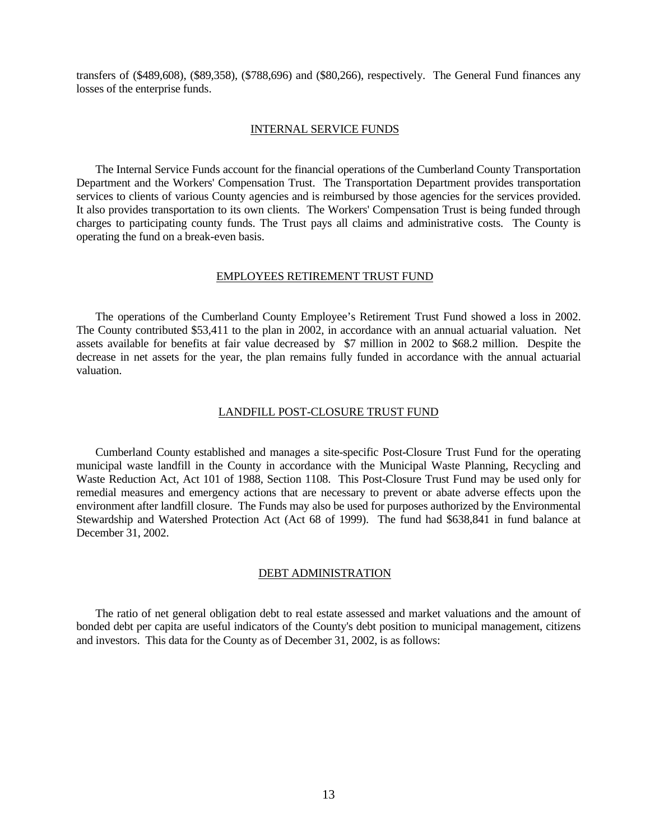transfers of (\$489,608), (\$89,358), (\$788,696) and (\$80,266), respectively. The General Fund finances any losses of the enterprise funds.

#### INTERNAL SERVICE FUNDS

The Internal Service Funds account for the financial operations of the Cumberland County Transportation Department and the Workers' Compensation Trust. The Transportation Department provides transportation services to clients of various County agencies and is reimbursed by those agencies for the services provided. It also provides transportation to its own clients. The Workers' Compensation Trust is being funded through charges to participating county funds. The Trust pays all claims and administrative costs. The County is operating the fund on a break-even basis.

#### EMPLOYEES RETIREMENT TRUST FUND

The operations of the Cumberland County Employee's Retirement Trust Fund showed a loss in 2002. The County contributed \$53,411 to the plan in 2002, in accordance with an annual actuarial valuation. Net assets available for benefits at fair value decreased by \$7 million in 2002 to \$68.2 million. Despite the decrease in net assets for the year, the plan remains fully funded in accordance with the annual actuarial valuation.

#### LANDFILL POST-CLOSURE TRUST FUND

Cumberland County established and manages a site-specific Post-Closure Trust Fund for the operating municipal waste landfill in the County in accordance with the Municipal Waste Planning, Recycling and Waste Reduction Act, Act 101 of 1988, Section 1108. This Post-Closure Trust Fund may be used only for remedial measures and emergency actions that are necessary to prevent or abate adverse effects upon the environment after landfill closure. The Funds may also be used for purposes authorized by the Environmental Stewardship and Watershed Protection Act (Act 68 of 1999). The fund had \$638,841 in fund balance at December 31, 2002.

#### DEBT ADMINISTRATION

The ratio of net general obligation debt to real estate assessed and market valuations and the amount of bonded debt per capita are useful indicators of the County's debt position to municipal management, citizens and investors. This data for the County as of December 31, 2002, is as follows: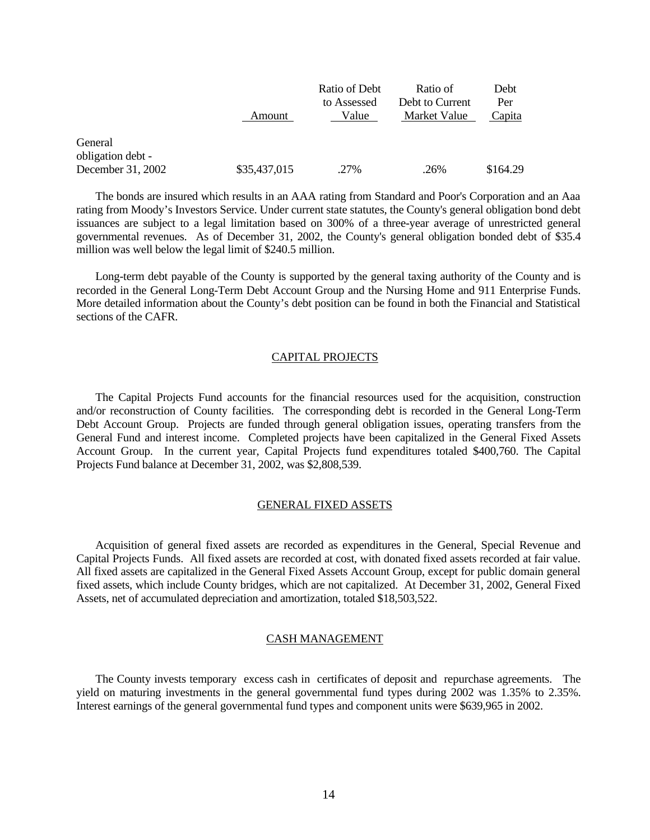|                   |              | Ratio of Debt | Katio of        | <b>Dept</b> |
|-------------------|--------------|---------------|-----------------|-------------|
|                   |              | to Assessed   | Debt to Current | Per         |
|                   | Amount       | Value         | Market Value    | Capita      |
| General           |              |               |                 |             |
| obligation debt - |              |               |                 |             |
| December 31, 2002 | \$35,437,015 | .27%          | .26%            | \$164.29    |

The bonds are insured which results in an AAA rating from Standard and Poor's Corporation and an Aaa rating from Moody's Investors Service. Under current state statutes, the County's general obligation bond debt issuances are subject to a legal limitation based on 300% of a three-year average of unrestricted general governmental revenues. As of December 31, 2002, the County's general obligation bonded debt of \$35.4 million was well below the legal limit of \$240.5 million.

 $R_{\text{rel}} = R_{\text{rel}} + R_{\text{rel}}$ 

Long-term debt payable of the County is supported by the general taxing authority of the County and is recorded in the General Long-Term Debt Account Group and the Nursing Home and 911 Enterprise Funds. More detailed information about the County's debt position can be found in both the Financial and Statistical sections of the CAFR.

# CAPITAL PROJECTS

The Capital Projects Fund accounts for the financial resources used for the acquisition, construction and/or reconstruction of County facilities. The corresponding debt is recorded in the General Long-Term Debt Account Group. Projects are funded through general obligation issues, operating transfers from the General Fund and interest income. Completed projects have been capitalized in the General Fixed Assets Account Group. In the current year, Capital Projects fund expenditures totaled \$400,760. The Capital Projects Fund balance at December 31, 2002, was \$2,808,539.

#### GENERAL FIXED ASSETS

Acquisition of general fixed assets are recorded as expenditures in the General, Special Revenue and Capital Projects Funds. All fixed assets are recorded at cost, with donated fixed assets recorded at fair value. All fixed assets are capitalized in the General Fixed Assets Account Group, except for public domain general fixed assets, which include County bridges, which are not capitalized. At December 31, 2002, General Fixed Assets, net of accumulated depreciation and amortization, totaled \$18,503,522.

### CASH MANAGEMENT

The County invests temporary excess cash in certificates of deposit and repurchase agreements. The yield on maturing investments in the general governmental fund types during 2002 was 1.35% to 2.35%. Interest earnings of the general governmental fund types and component units were \$639,965 in 2002.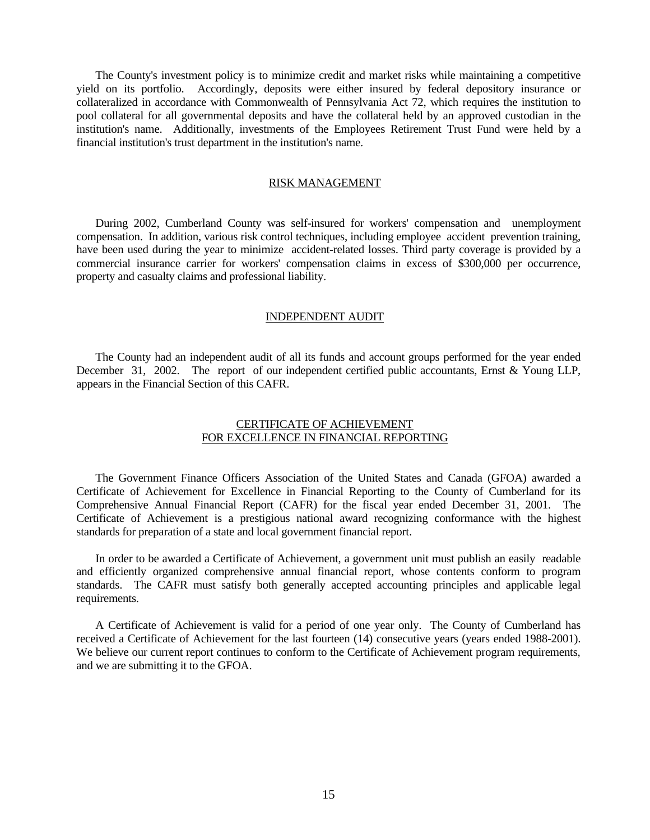The County's investment policy is to minimize credit and market risks while maintaining a competitive yield on its portfolio. Accordingly, deposits were either insured by federal depository insurance or collateralized in accordance with Commonwealth of Pennsylvania Act 72, which requires the institution to pool collateral for all governmental deposits and have the collateral held by an approved custodian in the institution's name. Additionally, investments of the Employees Retirement Trust Fund were held by a financial institution's trust department in the institution's name.

## RISK MANAGEMENT

During 2002, Cumberland County was self-insured for workers' compensation and unemployment compensation. In addition, various risk control techniques, including employee accident prevention training, have been used during the year to minimize accident-related losses. Third party coverage is provided by a commercial insurance carrier for workers' compensation claims in excess of \$300,000 per occurrence, property and casualty claims and professional liability.

#### INDEPENDENT AUDIT

The County had an independent audit of all its funds and account groups performed for the year ended December 31, 2002. The report of our independent certified public accountants, Ernst & Young LLP, appears in the Financial Section of this CAFR.

# CERTIFICATE OF ACHIEVEMENT FOR EXCELLENCE IN FINANCIAL REPORTING

The Government Finance Officers Association of the United States and Canada (GFOA) awarded a Certificate of Achievement for Excellence in Financial Reporting to the County of Cumberland for its Comprehensive Annual Financial Report (CAFR) for the fiscal year ended December 31, 2001. The Certificate of Achievement is a prestigious national award recognizing conformance with the highest standards for preparation of a state and local government financial report.

In order to be awarded a Certificate of Achievement, a government unit must publish an easily readable and efficiently organized comprehensive annual financial report, whose contents conform to program standards. The CAFR must satisfy both generally accepted accounting principles and applicable legal requirements.

A Certificate of Achievement is valid for a period of one year only. The County of Cumberland has received a Certificate of Achievement for the last fourteen (14) consecutive years (years ended 1988-2001). We believe our current report continues to conform to the Certificate of Achievement program requirements, and we are submitting it to the GFOA.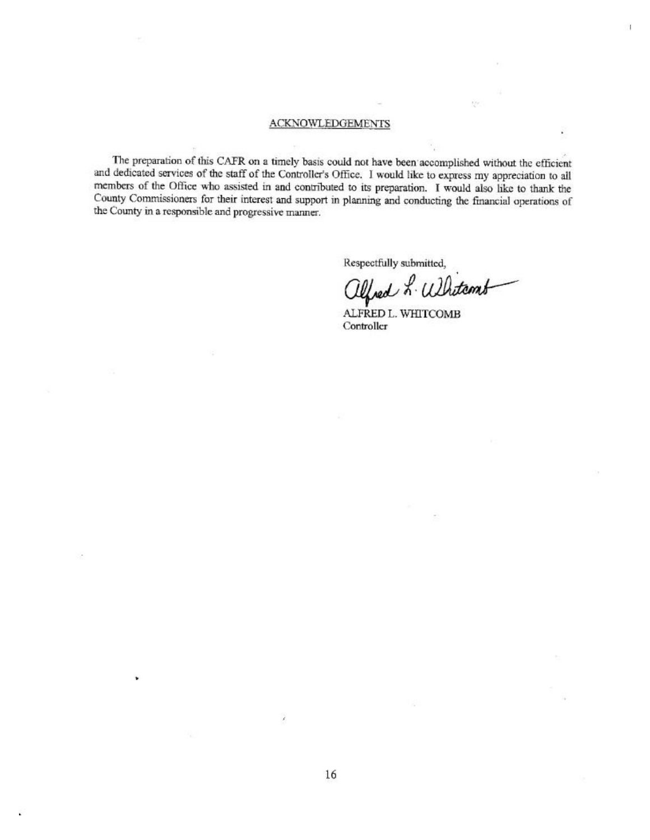#### **ACKNOWLEDGEMENTS**

The preparation of this CAFR on a timely basis could not have been accomplished without the efficient and dedicated services of the staff of the Controller's Office. I would like to express my appreciation to all members of the Office who assisted in and contributed to its preparation. I would also like to thank the County Commissioners for their interest and support in planning and conducting the financial operations of the County in a responsible and progressive manner.

Respectfully submitted,

alfred L. Whitams

66

ALFRED L. WHITCOMB Controller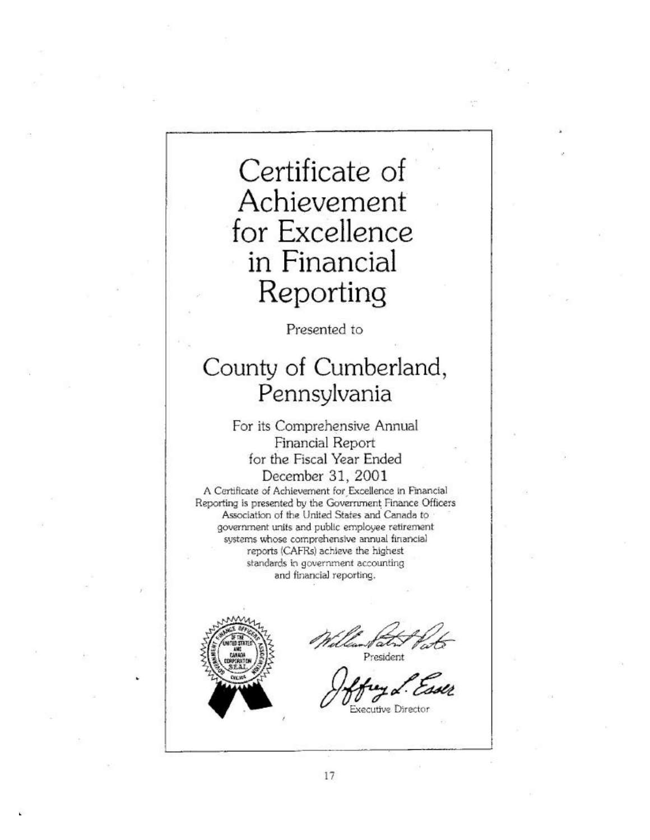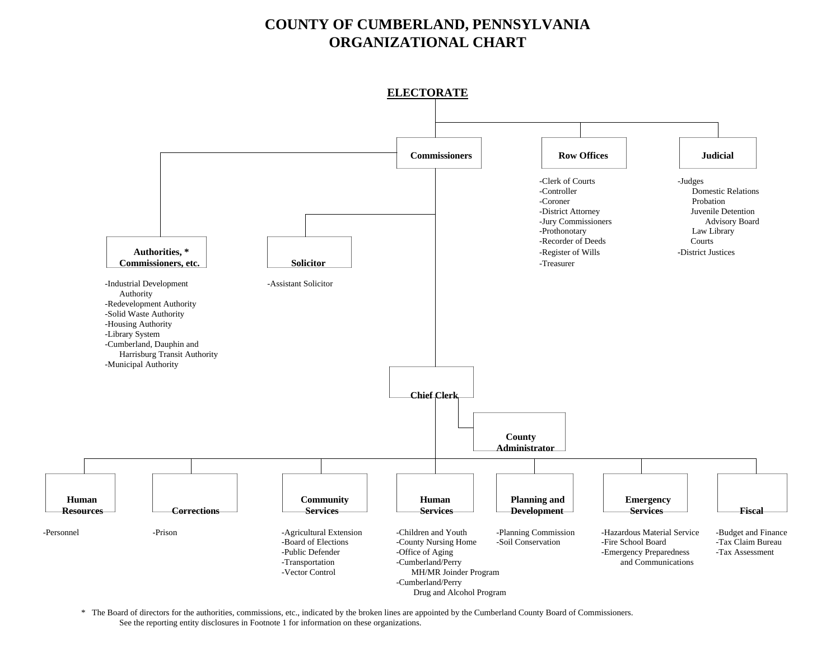# **COUNTY OF CUMBERLAND, PENNSYLVANIA ORGANIZATIONAL CHART**



\* The Board of directors for the authorities, commissions, etc., indicated by the broken lines are appointed by the Cumberland County Board of Commissioners. See the reporting entity disclosures in Footnote 1 for information on these organizations.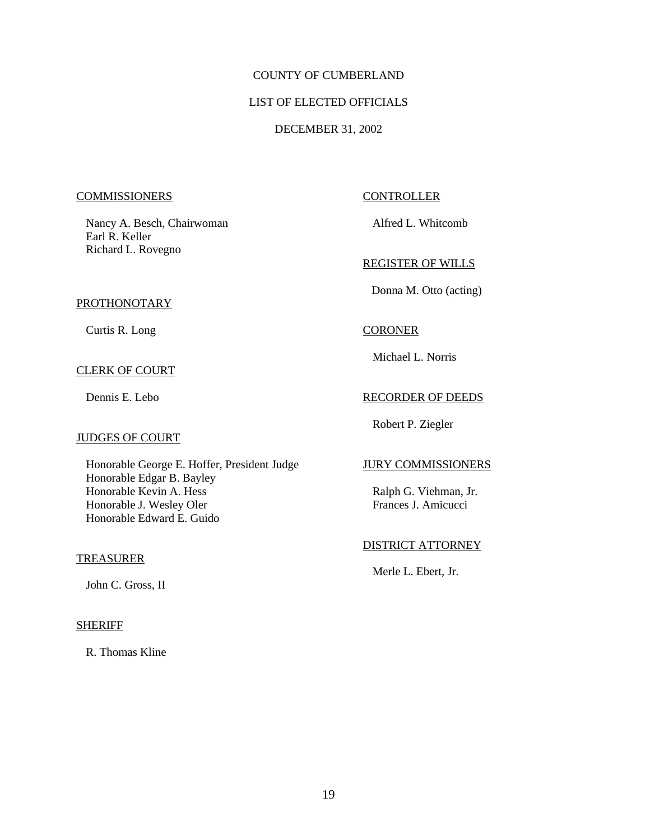# COUNTY OF CUMBERLAND

# LIST OF ELECTED OFFICIALS

# DECEMBER 31, 2002

#### COMMISSIONERS CONTROLLER

Nancy A. Besch, Chairwoman Alfred L. Whitcomb Earl R. Keller Richard L. Rovegno

# REGISTER OF WILLS

Donna M. Otto (acting)

# PROTHONOTARY

Curtis R. Long CORONER

#### CLERK OF COURT

#### JUDGES OF COURT

Honorable George E. Hoffer, President Judge **JURY COMMISSIONERS** Honorable Edgar B. Bayley Honorable Kevin A. Hess Ralph G. Viehman, Jr. Honorable J. Wesley Oler Frances J. Amicucci Honorable Edward E. Guido

# TREASURER

John C. Gross, II

### **SHERIFF**

R. Thomas Kline

Michael L. Norris

# Dennis E. Lebo RECORDER OF DEEDS

Robert P. Ziegler

# DISTRICT ATTORNEY

Merle L. Ebert, Jr.